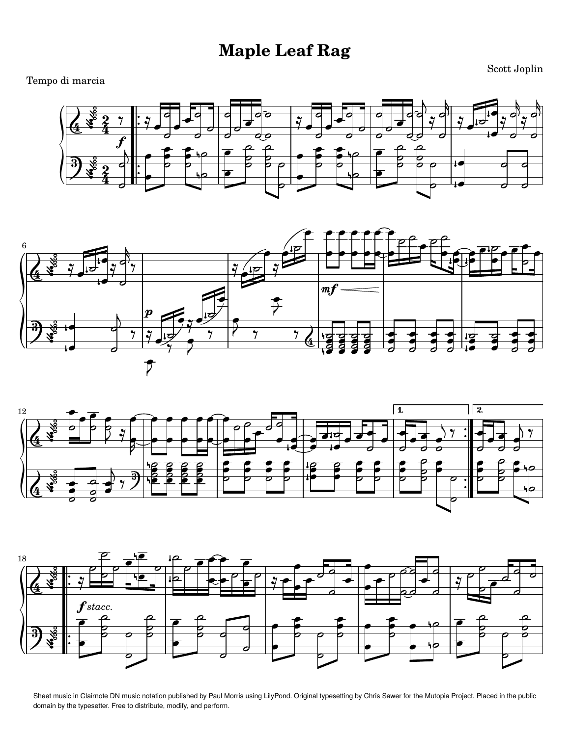## **Maple Leaf Rag**

Tempo di marcia

Scott Joplin









Sheet music in [Clairnote DN music notation](http://clairnote.org/dn/) published by Paul Morris using [LilyPond.](http://www.lilypond.org) Original typesetting by Chris Sawer for the [Mutopia Project.](http://www.mutopiaproject.org) Placed in the [public](http://creativecommons.org/publicdomain/zero/1.0/) [domain](http://creativecommons.org/publicdomain/zero/1.0/) by the typesetter. Free to distribute, modify, and perform.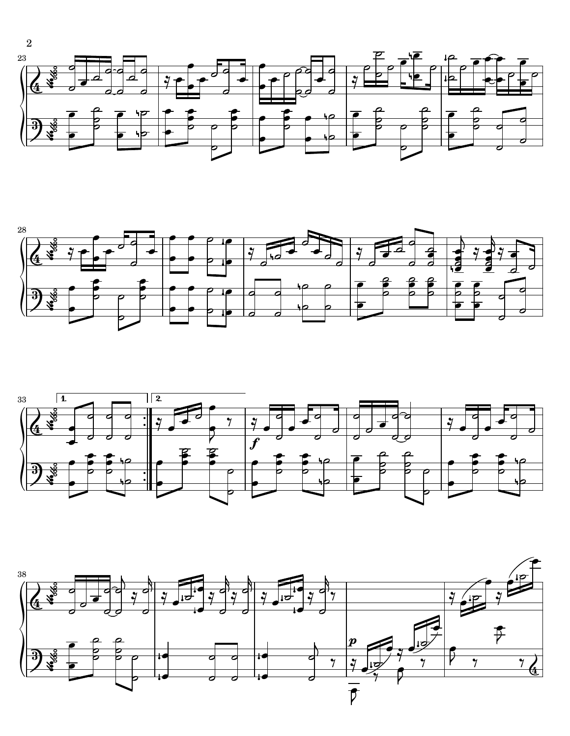





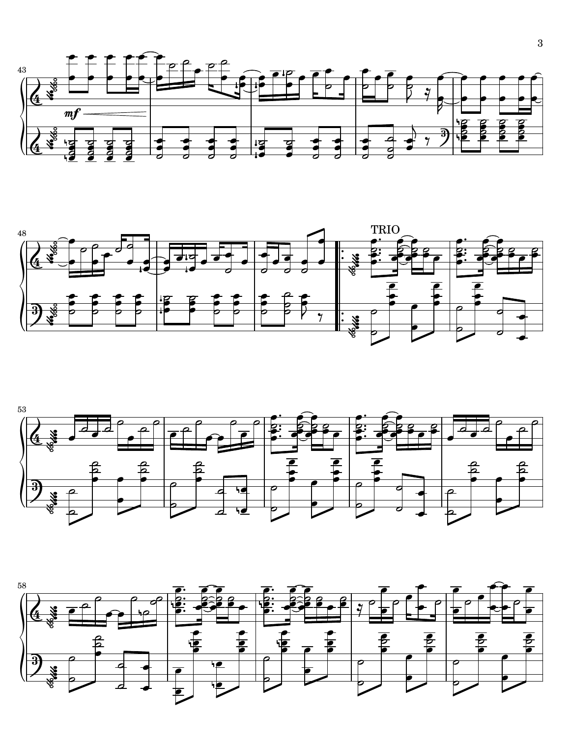